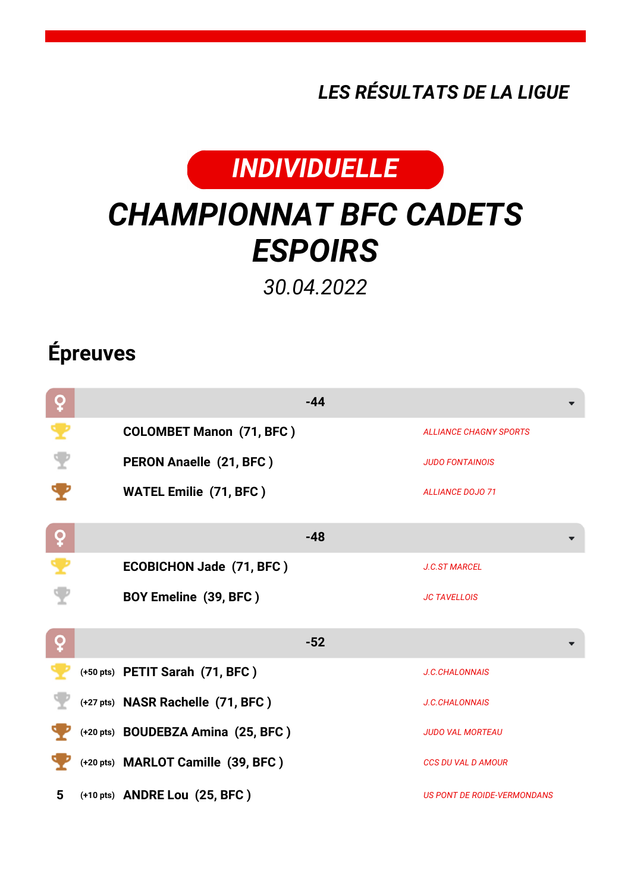*LES RÉSULTATS DE LA LIGUE*



## *CHAMPIONNAT BFC CADETS ESPOIRS*

*30.04.2022*

## **Épreuves**

| ò                   |                                    | $-44$ |                               |
|---------------------|------------------------------------|-------|-------------------------------|
| $\ddot{\textbf{r}}$ | <b>COLOMBET Manon (71, BFC)</b>    |       | <b>ALLIANCE CHAGNY SPORTS</b> |
|                     | PERON Anaelle (21, BFC)            |       | <b>JUDO FONTAINOIS</b>        |
|                     | <b>WATEL Emilie (71, BFC)</b>      |       | <b>ALLIANCE DOJO 71</b>       |
| ò                   |                                    | $-48$ |                               |
|                     | <b>ECOBICHON Jade (71, BFC)</b>    |       | <b>J.C.ST MARCEL</b>          |
|                     | BOY Emeline (39, BFC)              |       | <b>JC TAVELLOIS</b>           |
| ò                   |                                    | $-52$ |                               |
|                     | (+50 pts) PETIT Sarah (71, BFC)    |       | <b>J.C.CHALONNAIS</b>         |
|                     | (+27 pts) NASR Rachelle (71, BFC)  |       | <b>J.C.CHALONNAIS</b>         |
|                     | (+20 pts) BOUDEBZA Amina (25, BFC) |       | <b>JUDO VAL MORTEAU</b>       |
|                     | (+20 pts) MARLOT Camille (39, BFC) |       | <b>CCS DU VAL D AMOUR</b>     |
| 5                   | (+10 pts) ANDRE Lou (25, BFC)      |       | US PONT DE ROIDE-VERMONDANS   |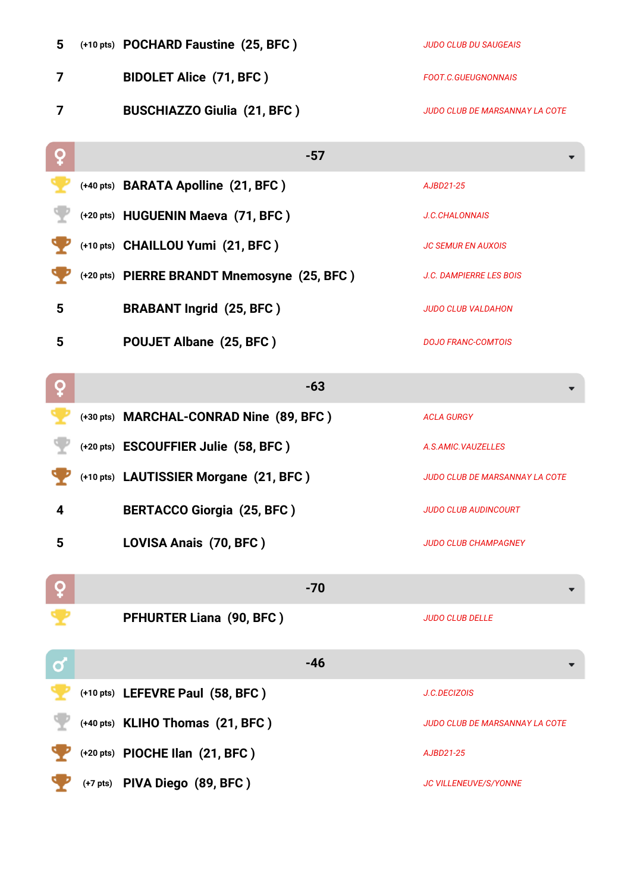| 5 | (+10 pts) POCHARD Faustine (25, BFC)        | <b>JUDO CLUB DU SAUGEAIS</b>          |
|---|---------------------------------------------|---------------------------------------|
| 7 | <b>BIDOLET Alice (71, BFC)</b>              | <b>FOOT.C.GUEUGNONNAIS</b>            |
| 7 | <b>BUSCHIAZZO Giulia (21, BFC)</b>          | <b>JUDO CLUB DE MARSANNAY LA COTE</b> |
| ç | $-57$                                       |                                       |
|   | (+40 pts) BARATA Apolline (21, BFC)         | AJBD21-25                             |
|   | (+20 pts) HUGUENIN Maeva (71, BFC)          | J.C.CHALONNAIS                        |
|   | (+10 pts) CHAILLOU Yumi (21, BFC)           | <b>JC SEMUR EN AUXOIS</b>             |
|   | (+20 pts) PIERRE BRANDT Mnemosyne (25, BFC) | <b>J.C. DAMPIERRE LES BOIS</b>        |
| 5 | <b>BRABANT Ingrid (25, BFC)</b>             | <b>JUDO CLUB VALDAHON</b>             |
| 5 | POUJET Albane (25, BFC)                     | <b>DOJO FRANC-COMTOIS</b>             |
| ò | $-63$                                       |                                       |
|   | (+30 pts) MARCHAL-CONRAD Nine (89, BFC)     | <b>ACLA GURGY</b>                     |
|   | (+20 pts) ESCOUFFIER Julie (58, BFC)        | A.S.AMIC.VAUZELLES                    |
|   | (+10 pts) LAUTISSIER Morgane (21, BFC)      | <b>JUDO CLUB DE MARSANNAY LA COTE</b> |
| 4 | <b>BERTACCO Giorgia (25, BFC)</b>           | <b>JUDO CLUB AUDINCOURT</b>           |
| 5 | LOVISA Anais (70, BFC)                      | <b>JUDO CLUB CHAMPAGNEY</b>           |
|   | $-70$                                       |                                       |
|   | PFHURTER Liana (90, BFC)                    | <b>JUDO CLUB DELLE</b>                |
| ර | $-46$                                       |                                       |
|   | (+10 pts) LEFEVRE Paul (58, BFC)            | J.C.DECIZOIS                          |
|   | (+40 pts) KLIHO Thomas (21, BFC)            | <b>JUDO CLUB DE MARSANNAY LA COTE</b> |
|   | (+20 pts) PIOCHE Ilan (21, BFC)             | AJBD21-25                             |
|   | (+7 pts) PIVA Diego (89, BFC)               | JC VILLENEUVE/S/YONNE                 |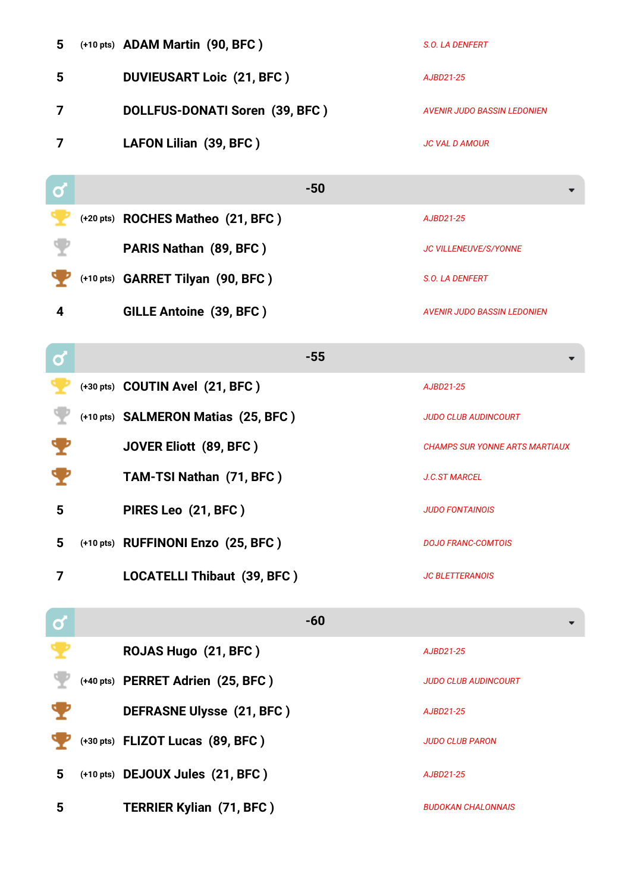| 5                       | (+10 pts) ADAM Martin (90, BFC)     | S.O. LA DENFERT                       |
|-------------------------|-------------------------------------|---------------------------------------|
| 5                       | <b>DUVIEUSART Loic (21, BFC)</b>    | AJBD21-25                             |
| 7                       | DOLLFUS-DONATI Soren (39, BFC)      | <b>AVENIR JUDO BASSIN LEDONIEN</b>    |
| 7                       | LAFON Lilian (39, BFC)              | <b>JC VAL D AMOUR</b>                 |
| $\mathbf Q$             | $-50$                               |                                       |
|                         | (+20 pts) ROCHES Matheo (21, BFC)   | AJBD21-25                             |
|                         | <b>PARIS Nathan (89, BFC)</b>       | <b>JC VILLENEUVE/S/YONNE</b>          |
|                         | (+10 pts) GARRET Tilyan (90, BFC)   | S.O. LA DENFERT                       |
| 4                       | <b>GILLE Antoine (39, BFC)</b>      | <b>AVENIR JUDO BASSIN LEDONIEN</b>    |
| $\mathbf{C}$            | $-55$                               |                                       |
|                         | (+30 pts) COUTIN Avel (21, BFC)     | AJBD21-25                             |
|                         | (+10 pts) SALMERON Matias (25, BFC) | <b>JUDO CLUB AUDINCOURT</b>           |
|                         | <b>JOVER Eliott (89, BFC)</b>       | <b>CHAMPS SUR YONNE ARTS MARTIAUX</b> |
|                         | TAM-TSI Nathan (71, BFC)            | <b>J.C.ST MARCEL</b>                  |
| 5                       | PIRES Leo (21, BFC)                 | <b>JUDO FONTAINOIS</b>                |
| $5\phantom{1}$          | (+10 pts) RUFFINONI Enzo (25, BFC)  | <b>DOJO FRANC-COMTOIS</b>             |
| $\overline{\mathbf{z}}$ | <b>LOCATELLI Thibaut (39, BFC)</b>  | <b>JC BLETTERANOIS</b>                |
| <u>ರ</u>                | $-60$                               |                                       |
|                         | ROJAS Hugo (21, BFC)                | AJBD21-25                             |
|                         | (+40 pts) PERRET Adrien (25, BFC)   | <b>JUDO CLUB AUDINCOURT</b>           |
|                         | <b>DEFRASNE Ulysse (21, BFC)</b>    | AJBD21-25                             |
|                         | (+30 pts) FLIZOT Lucas (89, BFC)    | <b>JUDO CLUB PARON</b>                |
| $5\phantom{.0}$         | (+10 pts) DEJOUX Jules (21, BFC)    | AJBD21-25                             |
| $5\phantom{.0}$         | <b>TERRIER Kylian (71, BFC)</b>     | <b>BUDOKAN CHALONNAIS</b>             |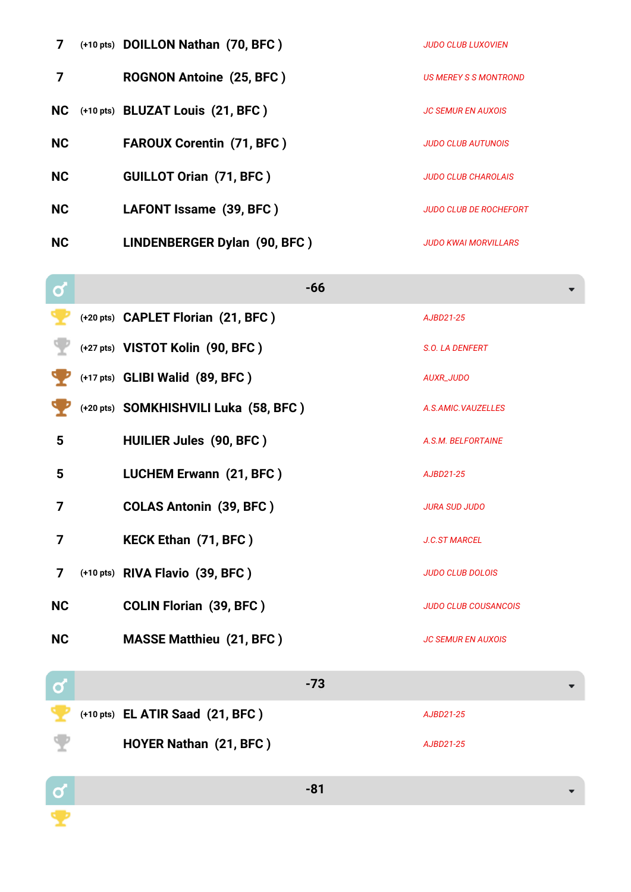| 7         | (+10 pts) DOILLON Nathan (70, BFC)  | <b>JUDO CLUB LUXOVIEN</b>     |
|-----------|-------------------------------------|-------------------------------|
|           | <b>ROGNON Antoine (25, BFC)</b>     | US MEREY S S MONTROND         |
|           | NC (+10 pts) BLUZAT Louis (21, BFC) | <b>JC SEMUR EN AUXOIS</b>     |
| NC        | <b>FAROUX Corentin (71, BFC)</b>    | <b>JUDO CLUB AUTUNOIS</b>     |
| <b>NC</b> | <b>GUILLOT Orian (71, BFC)</b>      | <b>JUDO CLUB CHAROLAIS</b>    |
| <b>NC</b> | LAFONT Issame (39, BFC)             | <b>JUDO CLUB DE ROCHEFORT</b> |
| <b>NC</b> | LINDENBERGER Dylan (90, BFC)        | <b>JUDO KWAI MORVILLARS</b>   |

| O              | $-66$                                 |                             |
|----------------|---------------------------------------|-----------------------------|
|                | (+20 pts) CAPLET Florian (21, BFC)    | AJBD21-25                   |
|                | (+27 pts) VISTOT Kolin (90, BFC)      | S.O. LA DENFERT             |
|                | (+17 pts) GLIBI Walid (89, BFC)       | <b>AUXR_JUDO</b>            |
|                | (+20 pts) SOMKHISHVILI Luka (58, BFC) | A.S.AMIC.VAUZELLES          |
| $5\phantom{1}$ | <b>HUILIER Jules (90, BFC)</b>        | A.S.M. BELFORTAINE          |
| 5              | <b>LUCHEM Erwann (21, BFC)</b>        | AJBD21-25                   |
| 7              | <b>COLAS Antonin (39, BFC)</b>        | <b>JURA SUD JUDO</b>        |
| 7              | <b>KECK Ethan (71, BFC)</b>           | <b>J.C.ST MARCEL</b>        |
| $\overline{7}$ | (+10 pts) RIVA Flavio (39, BFC)       | <b>JUDO CLUB DOLOIS</b>     |
| <b>NC</b>      | <b>COLIN Florian (39, BFC)</b>        | <b>JUDO CLUB COUSANCOIS</b> |
| <b>NC</b>      | <b>MASSE Matthieu (21, BFC)</b>       | <b>JC SEMUR EN AUXOIS</b>   |
|                |                                       |                             |
| O              | $-73$                                 |                             |

**(+10 pts) EL ATIR Saad (21, BFC )** *AJBD21-25*

**HOYER Nathan (21, BFC )** *AJBD21-25*

**-81**

 $\frac{a}{2}$ 

 $\mathbf{\Psi}$